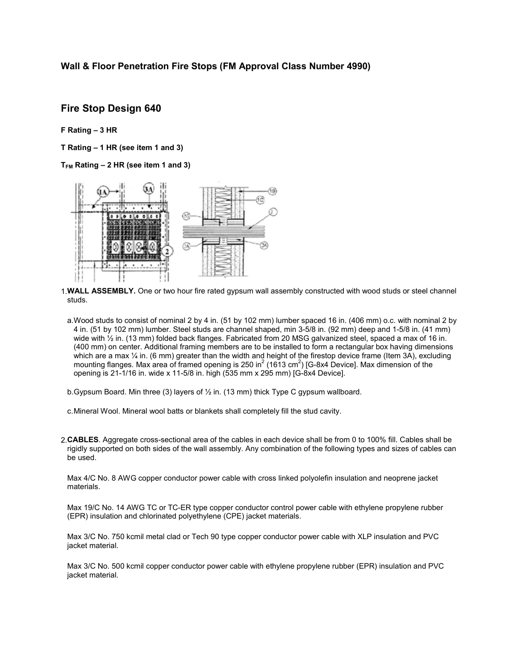## Wall & Floor Penetration Fire Stops (FM Approval Class Number 4990)

## Fire Stop Design 640

### F Rating – 3 HR

T Rating – 1 HR (see item 1 and 3)

 $T_{FM}$  Rating  $-2$  HR (see item 1 and 3)



1. WALL ASSEMBLY. One or two hour fire rated gypsum wall assembly constructed with wood studs or steel channel studs.

a.Wood studs to consist of nominal 2 by 4 in. (51 by 102 mm) lumber spaced 16 in. (406 mm) o.c. with nominal 2 by 4 in. (51 by 102 mm) lumber. Steel studs are channel shaped, min 3-5/8 in. (92 mm) deep and 1-5/8 in. (41 mm) wide with  $\frac{1}{2}$  in. (13 mm) folded back flanges. Fabricated from 20 MSG galvanized steel, spaced a max of 16 in. (400 mm) on center. Additional framing members are to be installed to form a rectangular box having dimensions which are a max  $\frac{1}{4}$  in. (6 mm) greater than the width and height of the firestop device frame (Item 3A), excluding mounting flanges. Max area of framed opening is 250 in<sup>2</sup> (1613 cm<sup>2</sup>) [G-8x4 Device]. Max dimension of the opening is 21-1/16 in. wide x 11-5/8 in. high (535 mm x 295 mm) [G-8x4 Device].

b.Gypsum Board. Min three (3) layers of ½ in. (13 mm) thick Type C gypsum wallboard.

- c.Mineral Wool. Mineral wool batts or blankets shall completely fill the stud cavity.
- 2.CABLES. Aggregate cross-sectional area of the cables in each device shall be from 0 to 100% fill. Cables shall be rigidly supported on both sides of the wall assembly. Any combination of the following types and sizes of cables can be used.

Max 4/C No. 8 AWG copper conductor power cable with cross linked polyolefin insulation and neoprene jacket materials.

Max 19/C No. 14 AWG TC or TC-ER type copper conductor control power cable with ethylene propylene rubber (EPR) insulation and chlorinated polyethylene (CPE) jacket materials.

Max 3/C No. 750 kcmil metal clad or Tech 90 type copper conductor power cable with XLP insulation and PVC jacket material.

Max 3/C No. 500 kcmil copper conductor power cable with ethylene propylene rubber (EPR) insulation and PVC jacket material.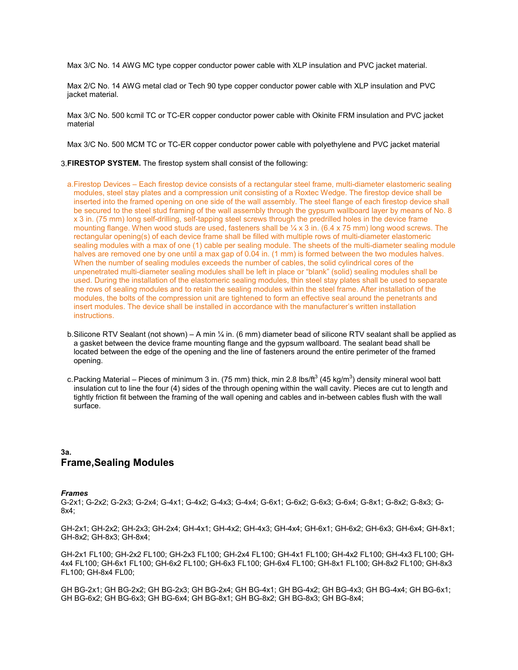Max 3/C No. 14 AWG MC type copper conductor power cable with XLP insulation and PVC jacket material.

Max 2/C No. 14 AWG metal clad or Tech 90 type copper conductor power cable with XLP insulation and PVC jacket material.

Max 3/C No. 500 kcmil TC or TC-ER copper conductor power cable with Okinite FRM insulation and PVC jacket material

Max 3/C No. 500 MCM TC or TC-ER copper conductor power cable with polyethylene and PVC jacket material

#### 3.FIRESTOP SYSTEM. The firestop system shall consist of the following:

- a.Firestop Devices Each firestop device consists of a rectangular steel frame, multi-diameter elastomeric sealing modules, steel stay plates and a compression unit consisting of a Roxtec Wedge. The firestop device shall be inserted into the framed opening on one side of the wall assembly. The steel flange of each firestop device shall be secured to the steel stud framing of the wall assembly through the gypsum wallboard layer by means of No. 8 x 3 in. (75 mm) long self-drilling, self-tapping steel screws through the predrilled holes in the device frame mounting flange. When wood studs are used, fasteners shall be  $\frac{1}{4}$  x 3 in. (6.4 x 75 mm) long wood screws. The rectangular opening(s) of each device frame shall be filled with multiple rows of multi-diameter elastomeric sealing modules with a max of one (1) cable per sealing module. The sheets of the multi-diameter sealing module halves are removed one by one until a max gap of 0.04 in. (1 mm) is formed between the two modules halves. When the number of sealing modules exceeds the number of cables, the solid cylindrical cores of the unpenetrated multi-diameter sealing modules shall be left in place or "blank" (solid) sealing modules shall be used. During the installation of the elastomeric sealing modules, thin steel stay plates shall be used to separate the rows of sealing modules and to retain the sealing modules within the steel frame. After installation of the modules, the bolts of the compression unit are tightened to form an effective seal around the penetrants and insert modules. The device shall be installed in accordance with the manufacturer's written installation instructions.
- b. Silicone RTV Sealant (not shown) A min  $\frac{1}{4}$  in. (6 mm) diameter bead of silicone RTV sealant shall be applied as a gasket between the device frame mounting flange and the gypsum wallboard. The sealant bead shall be located between the edge of the opening and the line of fasteners around the entire perimeter of the framed opening.
- c.Packing Material Pieces of minimum 3 in. (75 mm) thick, min 2.8 lbs/ft $^3$  (45 kg/m $^3$ ) density mineral wool batt insulation cut to line the four (4) sides of the through opening within the wall cavity. Pieces are cut to length and tightly friction fit between the framing of the wall opening and cables and in-between cables flush with the wall surface.

# 3a. Frame,Sealing Modules

#### *Frames*

G-2x1; G-2x2; G-2x3; G-2x4; G-4x1; G-4x2; G-4x3; G-4x4; G-6x1; G-6x2; G-6x3; G-6x4; G-8x1; G-8x2; G-8x3; G-8x4;

GH-2x1; GH-2x2; GH-2x3; GH-2x4; GH-4x1; GH-4x2; GH-4x3; GH-4x4; GH-6x1; GH-6x2; GH-6x3; GH-6x4; GH-8x1; GH-8x2; GH-8x3; GH-8x4;

GH-2x1 FL100; GH-2x2 FL100; GH-2x3 FL100; GH-2x4 FL100; GH-4x1 FL100; GH-4x2 FL100; GH-4x3 FL100; GH-4x4 FL100; GH-6x1 FL100; GH-6x2 FL100; GH-6x3 FL100; GH-6x4 FL100; GH-8x1 FL100; GH-8x2 FL100; GH-8x3 FL100; GH-8x4 FL00;

GH BG-2x1; GH BG-2x2; GH BG-2x3; GH BG-2x4; GH BG-4x1; GH BG-4x2; GH BG-4x3; GH BG-4x4; GH BG-6x1; GH BG-6x2; GH BG-6x3; GH BG-6x4; GH BG-8x1; GH BG-8x2; GH BG-8x3; GH BG-8x4;